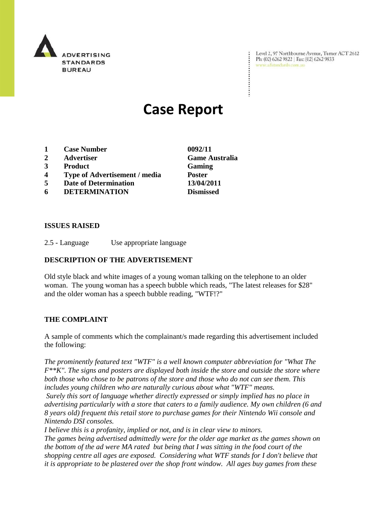

Level 2, 97 Northbourne Avenue, Turner ACT 2612 Ph: (02) 6262 9822 | Fax: (02) 6262 9833 www.adstandards.com.au

 $\ddot{\cdot}$ 

# **Case Report**

- **1 Case Number 0092/11**
- **2 Advertiser Game Australia**
- **3 Product Gaming**
- **4 Type of Advertisement / media Poster**
- **5 Date of Determination 13/04/2011**
- **6 DETERMINATION Dismissed**

#### **ISSUES RAISED**

2.5 - Language Use appropriate language

### **DESCRIPTION OF THE ADVERTISEMENT**

Old style black and white images of a young woman talking on the telephone to an older woman. The young woman has a speech bubble which reads, "The latest releases for \$28" and the older woman has a speech bubble reading, "WTF!?"

#### **THE COMPLAINT**

A sample of comments which the complainant/s made regarding this advertisement included the following:

*The prominently featured text "WTF" is a well known computer abbreviation for "What The F\*\*K". The signs and posters are displayed both inside the store and outside the store where both those who chose to be patrons of the store and those who do not can see them. This includes young children who are naturally curious about what "WTF" means.* 

*Surely this sort of language whether directly expressed or simply implied has no place in advertising particularly with a store that caters to a family audience. My own children (6 and 8 years old) frequent this retail store to purchase games for their Nintendo Wii console and Nintendo DSI consoles.*

*I believe this is a profanity, implied or not, and is in clear view to minors.* 

*The games being advertised admittedly were for the older age market as the games shown on the bottom of the ad were MA rated but being that I was sitting in the food court of the shopping centre all ages are exposed. Considering what WTF stands for I don't believe that it is appropriate to be plastered over the shop front window. All ages buy games from these*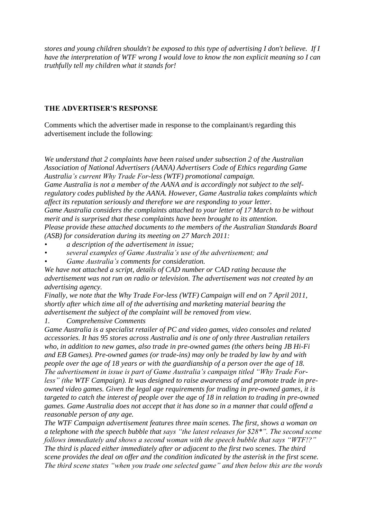*stores and young children shouldn't be exposed to this type of advertising I don't believe. If I have the interpretation of WTF wrong I would love to know the non explicit meaning so I can truthfully tell my children what it stands for!*

## **THE ADVERTISER'S RESPONSE**

Comments which the advertiser made in response to the complainant/s regarding this advertisement include the following:

*We understand that 2 complaints have been raised under subsection 2 of the Australian Association of National Advertisers (AANA) Advertisers Code of Ethics regarding Game Australia"s current Why Trade For-less (WTF) promotional campaign. Game Australia is not a member of the AANA and is accordingly not subject to the selfregulatory codes published by the AANA. However, Game Australia takes complaints which affect its reputation seriously and therefore we are responding to your letter. Game Australia considers the complaints attached to your letter of 17 March to be without* 

*merit and is surprised that these complaints have been brought to its attention. Please provide these attached documents to the members of the Australian Standards Board (ASB) for consideration during its meeting on 27 March 2011:*

- *• a description of the advertisement in issue;*
- *• several examples of Game Australia"s use of the advertisement; and*
- *• Game Australia"s comments for consideration.*

*We have not attached a script, details of CAD number or CAD rating because the advertisement was not run on radio or television. The advertisement was not created by an advertising agency.*

*Finally, we note that the Why Trade For-less (WTF) Campaign will end on 7 April 2011, shortly after which time all of the advertising and marketing material bearing the advertisement the subject of the complaint will be removed from view.*

*1. Comprehensive Comments*

*Game Australia is a specialist retailer of PC and video games, video consoles and related accessories. It has 95 stores across Australia and is one of only three Australian retailers who, in addition to new games, also trade in pre-owned games (the others being JB Hi-Fi and EB Games). Pre-owned games (or trade-ins) may only be traded by law by and with people over the age of 18 years or with the guardianship of a person over the age of 18. The advertisement in issue is part of Game Australia"s campaign titled "Why Trade Forless" (the WTF Campaign). It was designed to raise awareness of and promote trade in preowned video games. Given the legal age requirements for trading in pre-owned games, it is targeted to catch the interest of people over the age of 18 in relation to trading in pre-owned games. Game Australia does not accept that it has done so in a manner that could offend a reasonable person of any age.*

*The WTF Campaign advertisement features three main scenes. The first, shows a woman on a telephone with the speech bubble that says "the latest releases for \$28\*". The second scene follows immediately and shows a second woman with the speech bubble that says "WTF!?" The third is placed either immediately after or adjacent to the first two scenes. The third scene provides the deal on offer and the condition indicated by the asterisk in the first scene. The third scene states "when you trade one selected game" and then below this are the words*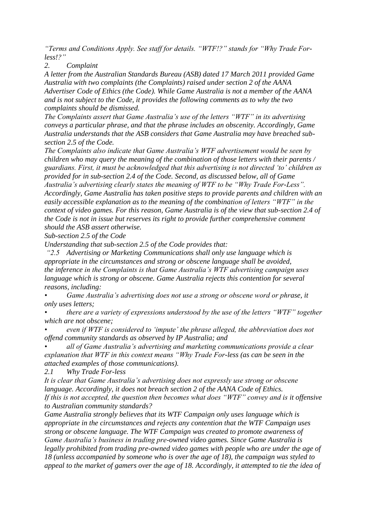*"Terms and Conditions Apply. See staff for details. "WTF!?" stands for "Why Trade Forless!?"*

*2. Complaint*

*A letter from the Australian Standards Bureau (ASB) dated 17 March 2011 provided Game Australia with two complaints (the Complaints) raised under section 2 of the AANA Advertiser Code of Ethics (the Code). While Game Australia is not a member of the AANA and is not subject to the Code, it provides the following comments as to why the two complaints should be dismissed.*

*The Complaints assert that Game Australia"s use of the letters "WTF" in its advertising conveys a particular phrase, and that the phrase includes an obscenity. Accordingly, Game Australia understands that the ASB considers that Game Australia may have breached subsection 2.5 of the Code.* 

*The Complaints also indicate that Game Australia"s WTF advertisement would be seen by children who may query the meaning of the combination of those letters with their parents / guardians. First, it must be acknowledged that this advertising is not directed "to" children as provided for in sub-section 2.4 of the Code. Second, as discussed below, all of Game Australia"s advertising clearly states the meaning of WTF to be "Why Trade For-Less". Accordingly, Game Australia has taken positive steps to provide parents and children with an easily accessible explanation as to the meaning of the combination of letters "WTF" in the context of video games. For this reason, Game Australia is of the view that sub-section 2.4 of the Code is not in issue but reserves its right to provide further comprehensive comment should the ASB assert otherwise.*

*Sub-section 2.5 of the Code*

*Understanding that sub-section 2.5 of the Code provides that:*

*"2.5 Advertising or Marketing Communications shall only use language which is appropriate in the circumstances and strong or obscene language shall be avoided, the inference in the Complaints is that Game Australia"s WTF advertising campaign uses language which is strong or obscene. Game Australia rejects this contention for several reasons, including:*

*• Game Australia"s advertising does not use a strong or obscene word or phrase, it only uses letters;*

*• there are a variety of expressions understood by the use of the letters "WTF" together which are not obscene;*

*• even if WTF is considered to "impute" the phrase alleged, the abbreviation does not offend community standards as observed by IP Australia; and*

*• all of Game Australia"s advertising and marketing communications provide a clear explanation that WTF in this context means "Why Trade For-less (as can be seen in the attached examples of those communications).*

*2.1 Why Trade For-less*

*It is clear that Game Australia"s advertising does not expressly use strong or obscene language. Accordingly, it does not breach section 2 of the AANA Code of Ethics.* If this is not accepted, the question then becomes what does "WTF" convey and is it offensive *to Australian community standards?*

*Game Australia strongly believes that its WTF Campaign only uses language which is appropriate in the circumstances and rejects any contention that the WTF Campaign uses strong or obscene language. The WTF Campaign was created to promote awareness of Game Australia"s business in trading pre-owned video games. Since Game Australia is legally prohibited from trading pre-owned video games with people who are under the age of 18 (unless accompanied by someone who is over the age of 18), the campaign was styled to appeal to the market of gamers over the age of 18. Accordingly, it attempted to tie the idea of*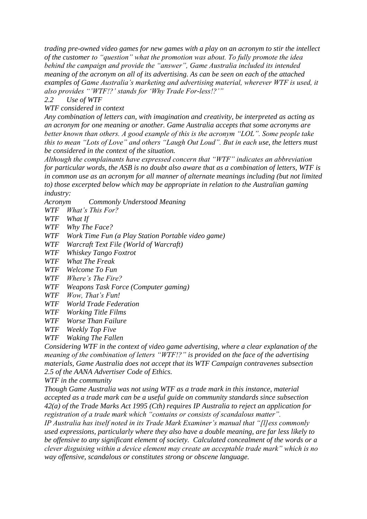*trading pre-owned video games for new games with a play on an acronym to stir the intellect of the customer to "question" what the promotion was about. To fully promote the idea behind the campaign and provide the "answer", Game Australia included its intended meaning of the acronym on all of its advertising. As can be seen on each of the attached examples of Game Australia"s marketing and advertising material, wherever WTF is used, it also provides ""WTF!?" stands for "Why Trade For-less!?""*

*2.2 Use of WTF* 

*WTF considered in context*

*Any combination of letters can, with imagination and creativity, be interpreted as acting as an acronym for one meaning or another. Game Australia accepts that some acronyms are better known than others. A good example of this is the acronym "LOL". Some people take this to mean "Lots of Love" and others "Laugh Out Loud". But in each use, the letters must be considered in the context of the situation.*

*Although the complainants have expressed concern that "WTF" indicates an abbreviation for particular words, the ASB is no doubt also aware that as a combination of letters, WTF is in common use as an acronym for all manner of alternate meanings including (but not limited to) those excerpted below which may be appropriate in relation to the Australian gaming industry:*

*Acronym Commonly Understood Meaning*

*WTF What"s This For?*

*WTF What If*

*WTF Why The Face?*

*WTF Work Time Fun (a Play Station Portable video game)*

*WTF Warcraft Text File (World of Warcraft)*

*WTF Whiskey Tango Foxtrot*

*WTF What The Freak*

*WTF Welcome To Fun*

*WTF Where"s The Fire?*

*WTF Weapons Task Force (Computer gaming)*

*WTF Wow, That"s Fun!*

*WTF World Trade Federation*

*WTF Working Title Films*

*WTF Worse Than Failure*

*WTF Weekly Top Five*

*WTF Waking The Fallen*

*Considering WTF in the context of video game advertising, where a clear explanation of the meaning of the combination of letters "WTF!?" is provided on the face of the advertising materials, Game Australia does not accept that its WTF Campaign contravenes subsection 2.5 of the AANA Advertiser Code of Ethics.*

*WTF in the community*

*Though Game Australia was not using WTF as a trade mark in this instance, material accepted as a trade mark can be a useful guide on community standards since subsection 42(a) of the Trade Marks Act 1995 (Cth) requires IP Australia to reject an application for registration of a trade mark which "contains or consists of scandalous matter".* 

*IP Australia has itself noted in its Trade Mark Examiner"s manual that "[l]ess commonly used expressions, particularly where they also have a double meaning, are far less likely to be offensive to any significant element of society. Calculated concealment of the words or a clever disguising within a device element may create an acceptable trade mark" which is no way offensive, scandalous or constitutes strong or obscene language.*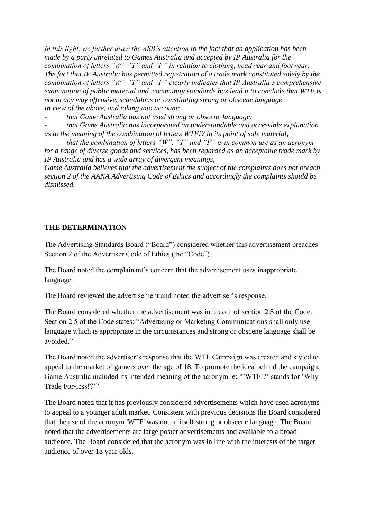*In this light, we further draw the ASB"s attention to the fact that an application has been made by a party unrelated to Games Australia and accepted by IP Australia for the combination of letters "W" "T" and "F" in relation to clothing, headwear and footwear. The fact that IP Australia has permitted registration of a trade mark constituted solely by the combination of letters "W" "T" and "F" clearly indicates that IP Australia"s comprehensive examination of public material and community standards has lead it to conclude that WTF is not in any way offensive, scandalous or constituting strong or obscene language. In view of the above, and taking into account:*

*- that Game Australia has not used strong or obscene language;*

*- that Game Australia has incorporated an understandable and accessible explanation as to the meaning of the combination of letters WTF!? in its point of sale material;*

*that the combination of letters "W", "T" and "F" is in common use as an acronym for a range of diverse goods and services, has been regarded as an acceptable trade mark by IP Australia and has a wide array of divergent meanings,*

*Game Australia believes that the advertisement the subject of the complaints does not breach section 2 of the AANA Advertising Code of Ethics and accordingly the complaints should be dismissed.*

# **THE DETERMINATION**

The Advertising Standards Board ("Board") considered whether this advertisement breaches Section 2 of the Advertiser Code of Ethics (the "Code").

The Board noted the complainant's concern that the advertisement uses inappropriate language.

The Board reviewed the advertisement and noted the advertiser's response.

The Board considered whether the advertisement was in breach of section 2.5 of the Code. Section 2.5 of the Code states: "Advertising or Marketing Communications shall only use language which is appropriate in the circumstances and strong or obscene language shall be avoided"

The Board noted the advertiser"s response that the WTF Campaign was created and styled to appeal to the market of gamers over the age of 18. To promote the idea behind the campaign, Game Australia included its intended meaning of the acronym ie: ""WTF!?" stands for "Why Trade For-less!?""

The Board noted that it has previously considered advertisements which have used acronyms to appeal to a younger adult market. Consistent with previous decisions the Board considered that the use of the acronym 'WTF' was not of itself strong or obscene language. The Board noted that the advertisements are large poster advertisements and available to a broad audience. The Board considered that the acronym was in line with the interests of the target audience of over 18 year olds.